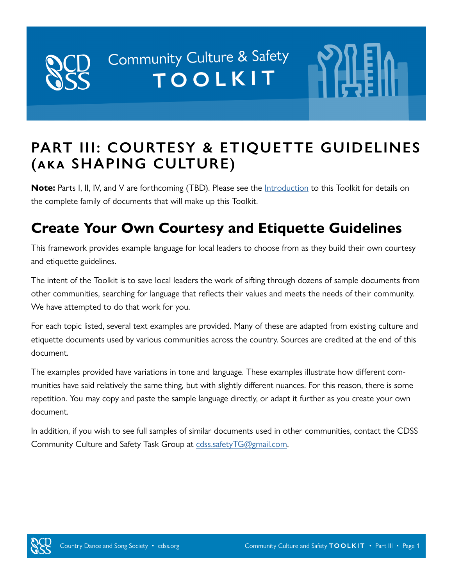# Community Culture & Safety TOOLKIT

# **PART III: COURTESY & ETIQUETTE GUIDELINES (aka SHAPING CULTURE)**

**Note:** Parts I, II, IV, and V are forthcoming (TBD). Please see the **[Introduction](https://cdss.org/images/documents/ccs-toolkit/CCS-Toolkit-Introduction.pdf)** to this Toolkit for details on the complete family of documents that will make up this Toolkit.

# **Create Your Own Courtesy and Etiquette Guidelines**

This framework provides example language for local leaders to choose from as they build their own courtesy and etiquette guidelines.

The intent of the Toolkit is to save local leaders the work of sifting through dozens of sample documents from other communities, searching for language that reflects their values and meets the needs of their community. We have attempted to do that work for you.

For each topic listed, several text examples are provided. Many of these are adapted from existing culture and etiquette documents used by various communities across the country. Sources are credited at the end of this document.

The examples provided have variations in tone and language. These examples illustrate how different communities have said relatively the same thing, but with slightly different nuances. For this reason, there is some repetition. You may copy and paste the sample language directly, or adapt it further as you create your own document.

In addition, if you wish to see full samples of similar documents used in other communities, contact the CDSS Community Culture and Safety Task Group at [cdss.safetyTG@gmail.com](mailto:cdss.safetyTG@gmail.com).

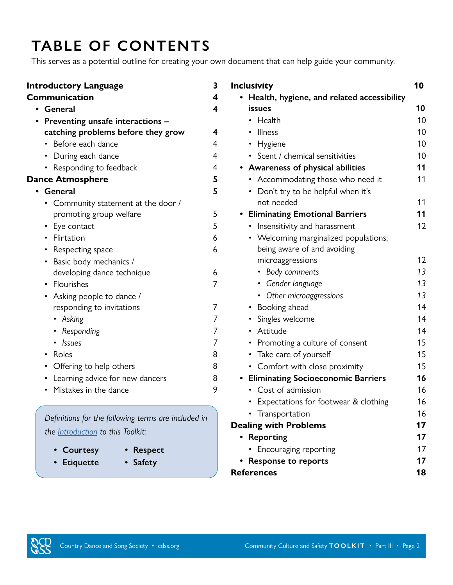# **TABLE OF CONTENTS**

This serves as a potential outline for creating your own document that can help guide your community.

| <b>Introductory Language</b> |                                     | 3              |
|------------------------------|-------------------------------------|----------------|
|                              | <b>Communication</b>                | 4              |
| ٠                            | General                             | 4              |
|                              | Preventing unsafe interactions -    |                |
|                              | catching problems before they grow  | 4              |
|                              | • Before each dance                 | 4              |
|                              | • During each dance                 | $\overline{4}$ |
|                              | • Responding to feedback            | 4              |
|                              | <b>Dance Atmosphere</b>             | 5              |
|                              | General                             | 5              |
|                              | • Community statement at the door / |                |
|                              | promoting group welfare             | 5              |
|                              | • Eye contact                       | 5              |
|                              | • Flirtation                        | 6              |
|                              | • Respecting space                  | 6              |
|                              | • Basic body mechanics /            |                |
|                              | developing dance technique          | 6              |
|                              | • Flourishes                        | 7              |
|                              | • Asking people to dance /          |                |
|                              | responding to invitations           | 7              |
|                              | • Asking                            | 7              |
|                              | • Responding                        | 7              |
|                              | <b>Issues</b>                       | 7              |
|                              | • Roles                             | 8              |
|                              | • Offering to help others           | 8              |
|                              | • Learning advice for new dancers   | 8              |
|                              | • Mistakes in the dance             | 9              |

*Definitions for the following terms are included in the [Introduction](https://cdss.org/images/documents/ccs-toolkit/CCS-Toolkit-Introduction.pdf) to this Toolkit:*

- 
- **• Courtesy Respect**
- **• Etiquette Safety**
- 

| <b>Inclusivity</b> |                                            | 10 |
|--------------------|--------------------------------------------|----|
|                    | Health, hygiene, and related accessibility |    |
|                    | <b>issues</b>                              | 10 |
|                    | • Health                                   | 10 |
|                    | • Illness                                  | 10 |
|                    | • Hygiene                                  | 10 |
|                    | • Scent / chemical sensitivities           | 10 |
|                    | Awareness of physical abilities            | 11 |
|                    | • Accommodating those who need it          | 11 |
|                    | • Don't try to be helpful when it's        |    |
|                    | not needed                                 | 11 |
|                    | <b>Eliminating Emotional Barriers</b>      | 11 |
|                    | • Insensitivity and harassment             | 12 |
|                    | • Welcoming marginalized populations;      |    |
|                    | being aware of and avoiding                |    |
|                    | microaggressions                           | 12 |
|                    | • Body comments                            | 13 |
|                    | • Gender language                          | 13 |
|                    | • Other microaggressions                   | 13 |
|                    | • Booking ahead                            | 14 |
|                    | • Singles welcome                          | 14 |
|                    | • Attitude                                 | 14 |
|                    | • Promoting a culture of consent           | 15 |
|                    | • Take care of yourself                    | 15 |
|                    | Comfort with close proximity<br>$\bullet$  | 15 |
|                    | <b>Eliminating Socioeconomic Barriers</b>  | 16 |
|                    | • Cost of admission                        | 16 |
|                    | • Expectations for footwear & clothing     | 16 |
|                    | Transportation                             | 16 |
|                    | <b>Dealing with Problems</b>               | 17 |
|                    | Reporting                                  | 17 |
|                    | Encouraging reporting                      | 17 |
|                    | <b>Response to reports</b>                 | 17 |
| <b>References</b>  |                                            | 18 |

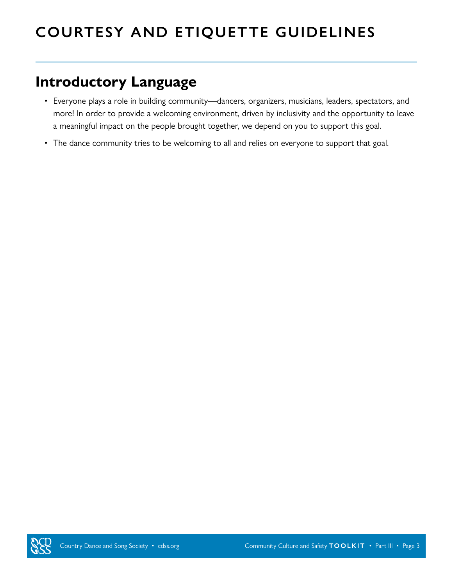# <span id="page-2-0"></span>**COURTESY AND ETIQUETTE GUIDELINES**

### **Introductory Language**

- Everyone plays a role in building community—dancers, organizers, musicians, leaders, spectators, and more! In order to provide a welcoming environment, driven by inclusivity and the opportunity to leave a meaningful impact on the people brought together, we depend on you to support this goal.
- <span id="page-2-1"></span>• The dance community tries to be welcoming to all and relies on everyone to support that goal.

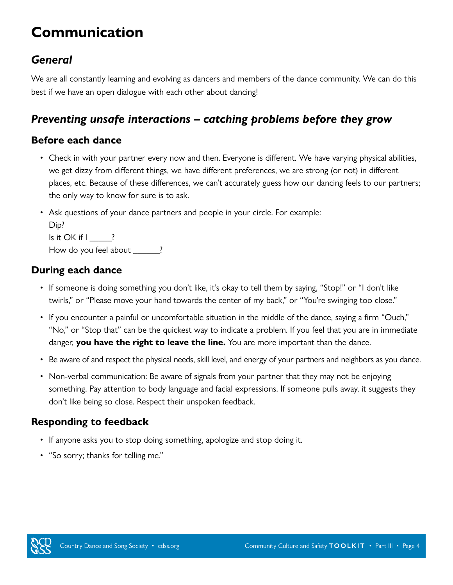# <span id="page-3-0"></span>**Communication**

### *General*

We are all constantly learning and evolving as dancers and members of the dance community. We can do this best if we have an open dialogue with each other about dancing!

### *Preventing unsafe interactions – catching problems before they grow*

#### **Before each dance**

- Check in with your partner every now and then. Everyone is different. We have varying physical abilities, we get dizzy from different things, we have different preferences, we are strong (or not) in different places, etc. Because of these differences, we can't accurately guess how our dancing feels to our partners; the only way to know for sure is to ask.
- Ask questions of your dance partners and people in your circle. For example:  $D: D$

| LJID!                 |  |
|-----------------------|--|
| Is it OK if I         |  |
| How do you feel about |  |

#### **During each dance**

- If someone is doing something you don't like, it's okay to tell them by saying, "Stop!" or "I don't like twirls," or "Please move your hand towards the center of my back," or "You're swinging too close."
- If you encounter a painful or uncomfortable situation in the middle of the dance, saying a firm "Ouch," "No," or "Stop that" can be the quickest way to indicate a problem. If you feel that you are in immediate danger, **you have the right to leave the line.** You are more important than the dance.
- Be aware of and respect the physical needs, skill level, and energy of your partners and neighbors as you dance.
- Non-verbal communication: Be aware of signals from your partner that they may not be enjoying something. Pay attention to body language and facial expressions. If someone pulls away, it suggests they don't like being so close. Respect their unspoken feedback.

#### **Responding to feedback**

- If anyone asks you to stop doing something, apologize and stop doing it.
- "So sorry; thanks for telling me."

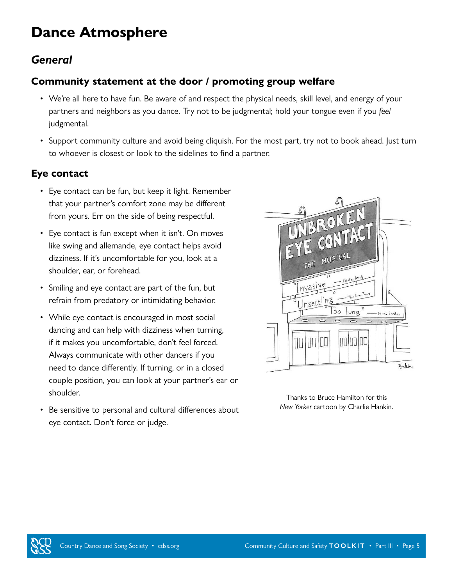# <span id="page-4-1"></span><span id="page-4-0"></span>**Dance Atmosphere**

### *General*

#### **Community statement at the door / promoting group welfare**

- We're all here to have fun. Be aware of and respect the physical needs, skill level, and energy of your partners and neighbors as you dance. Try not to be judgmental; hold your tongue even if you *feel* judgmental.
- Support community culture and avoid being cliquish. For the most part, try not to book ahead. Just turn to whoever is closest or look to the sidelines to find a partner.

#### **Eye contact**

- Eye contact can be fun, but keep it light. Remember that your partner's comfort zone may be different from yours. Err on the side of being respectful.
- Eye contact is fun except when it isn't. On moves like swing and allemande, eye contact helps avoid dizziness. If it's uncomfortable for you, look at a shoulder, ear, or forehead.
- Smiling and eye contact are part of the fun, but refrain from predatory or intimidating behavior.
- While eye contact is encouraged in most social dancing and can help with dizziness when turning, if it makes you uncomfortable, don't feel forced. Always communicate with other dancers if you need to dance differently. If turning, or in a closed couple position, you can look at your partner's ear or shoulder.
- Be sensitive to personal and cultural differences about eye contact. Don't force or judge.



Thanks to Bruce Hamilton for this *New Yorker* cartoon by Charlie Hankin.

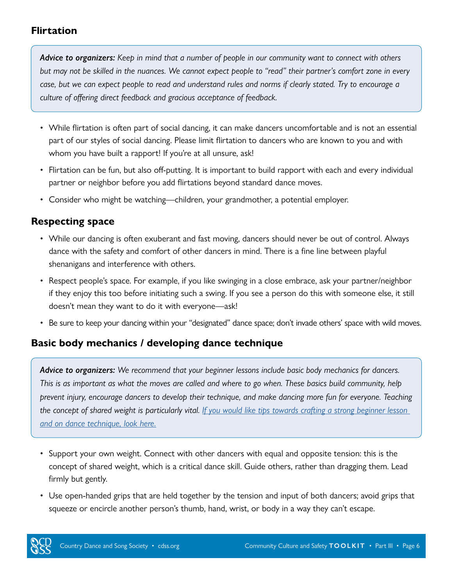#### <span id="page-5-0"></span>**Flirtation**

*Advice to organizers: Keep in mind that a number of people in our community want to connect with others but may not be skilled in the nuances. We cannot expect people to "read" their partner's comfort zone in every case, but we can expect people to read and understand rules and norms if clearly stated. Try to encourage a culture of offering direct feedback and gracious acceptance of feedback.*

- While flirtation is often part of social dancing, it can make dancers uncomfortable and is not an essential part of our styles of social dancing. Please limit flirtation to dancers who are known to you and with whom you have built a rapport! If you're at all unsure, ask!
- Flirtation can be fun, but also off-putting. It is important to build rapport with each and every individual partner or neighbor before you add flirtations beyond standard dance moves.
- Consider who might be watching—children, your grandmother, a potential employer.

#### **Respecting space**

- While our dancing is often exuberant and fast moving, dancers should never be out of control. Always dance with the safety and comfort of other dancers in mind. There is a fine line between playful shenanigans and interference with others.
- Respect people's space. For example, if you like swinging in a close embrace, ask your partner/neighbor if they enjoy this too before initiating such a swing. If you see a person do this with someone else, it still doesn't mean they want to do it with everyone—ask!
- Be sure to keep your dancing within your "designated" dance space; don't invade others' space with wild moves.

#### **Basic body mechanics / developing dance technique**

*Advice to organizers: We recommend that your beginner lessons include basic body mechanics for dancers. This is as important as what the moves are called and where to go when. These basics build community, help prevent injury, encourage dancers to develop their technique, and make dancing more fun for everyone. Teaching the concept of shared weight is particularly vital. [If you would like tips towards crafting a strong beginner lesson](https://www.cdss.org/resources/resource-portal/callers#supporting-new-dancers)  [and on dance technique, look here.](https://www.cdss.org/resources/resource-portal/callers#supporting-new-dancers)*

- Support your own weight. Connect with other dancers with equal and opposite tension: this is the concept of shared weight, which is a critical dance skill. Guide others, rather than dragging them. Lead firmly but gently.
- Use open-handed grips that are held together by the tension and input of both dancers; avoid grips that squeeze or encircle another person's thumb, hand, wrist, or body in a way they can't escape.

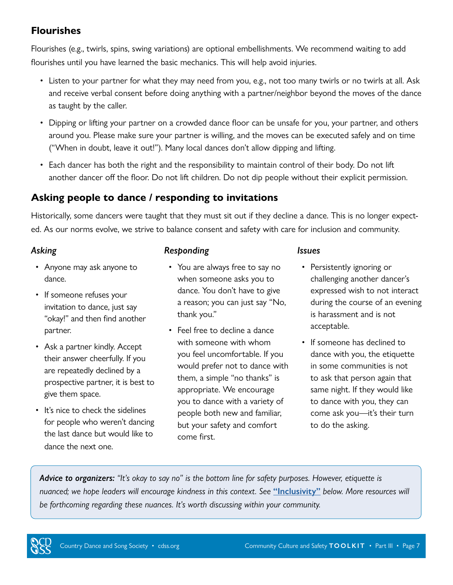#### <span id="page-6-1"></span><span id="page-6-0"></span>**Flourishes**

Flourishes (e.g., twirls, spins, swing variations) are optional embellishments. We recommend waiting to add flourishes until you have learned the basic mechanics. This will help avoid injuries.

- Listen to your partner for what they may need from you, e.g., not too many twirls or no twirls at all. Ask and receive verbal consent before doing anything with a partner/neighbor beyond the moves of the dance as taught by the caller.
- Dipping or lifting your partner on a crowded dance floor can be unsafe for you, your partner, and others around you. Please make sure your partner is willing, and the moves can be executed safely and on time ("When in doubt, leave it out!"). Many local dances don't allow dipping and lifting.
- Each dancer has both the right and the responsibility to maintain control of their body. Do not lift another dancer off the floor. Do not lift children. Do not dip people without their explicit permission.

#### **Asking people to dance / responding to invitations**

Historically, some dancers were taught that they must sit out if they decline a dance. This is no longer expected. As our norms evolve, we strive to balance consent and safety with care for inclusion and community.

#### *Asking*

- Anyone may ask anyone to dance.
- If someone refuses your invitation to dance, just say "okay!" and then find another partner.
- Ask a partner kindly. Accept their answer cheerfully. If you are repeatedly declined by a prospective partner, it is best to give them space.
- It's nice to check the sidelines for people who weren't dancing the last dance but would like to dance the next one.

#### *Responding*

- You are always free to say no when someone asks you to dance. You don't have to give a reason; you can just say "No, thank you."
- Feel free to decline a dance with someone with whom you feel uncomfortable. If you would prefer not to dance with them, a simple "no thanks" is appropriate. We encourage you to dance with a variety of people both new and familiar, but your safety and comfort come first.

#### *Issues*

- Persistently ignoring or challenging another dancer's expressed wish to not interact during the course of an evening is harassment and is not acceptable.
- If someone has declined to dance with you, the etiquette in some communities is not to ask that person again that same night. If they would like to dance with you, they can come ask you—it's their turn to do the asking.

*Advice to organizers: "It's okay to say no" is the bottom line for safety purposes. However, etiquette is nuanced; we hope leaders will encourage kindness in this context. See* **["Inclusivity"](#page-8-0)** *below. More resources will be forthcoming regarding these nuances. It's worth discussing within your community.*

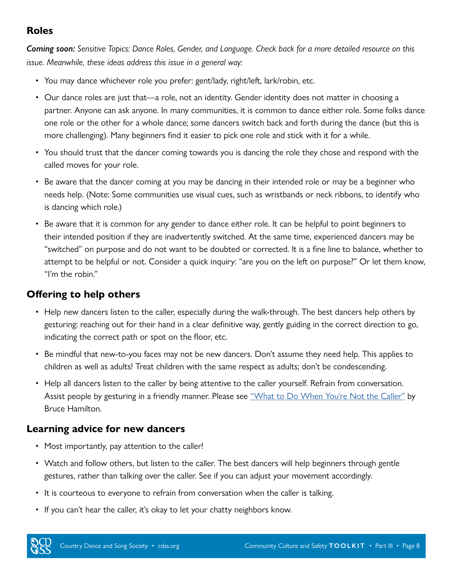#### **Roles**

*Coming soon: Sensitive Topics: Dance Roles, Gender, and Language. Check back for a more detailed resource on this issue. Meanwhile, these ideas address this issue in a general way:*

- You may dance whichever role you prefer: gent/lady, right/left, lark/robin, etc.
- Our dance roles are just that—a role, not an identity. Gender identity does not matter in choosing a partner. Anyone can ask anyone. In many communities, it is common to dance either role. Some folks dance one role or the other for a whole dance; some dancers switch back and forth during the dance (but this is more challenging). Many beginners find it easier to pick one role and stick with it for a while.
- You should trust that the dancer coming towards you is dancing the role they chose and respond with the called moves for your role.
- Be aware that the dancer coming at you may be dancing in their intended role or may be a beginner who needs help. (Note: Some communities use visual cues, such as wristbands or neck ribbons, to identify who is dancing which role.)
- Be aware that it is common for any gender to dance either role. It can be helpful to point beginners to their intended position if they are inadvertently switched. At the same time, experienced dancers may be "switched" on purpose and do not want to be doubted or corrected. It is a fine line to balance, whether to attempt to be helpful or not. Consider a quick inquiry: "are you on the left on purpose?" Or let them know, "I'm the robin."

#### **Offering to help others**

- Help new dancers listen to the caller, especially during the walk-through. The best dancers help others by gesturing: reaching out for their hand in a clear definitive way, gently guiding in the correct direction to go, indicating the correct path or spot on the floor, etc.
- Be mindful that new-to-you faces may not be new dancers. Don't assume they need help. This applies to children as well as adults! Treat children with the same respect as adults; don't be condescending.
- Help all dancers listen to the caller by being attentive to the caller yourself. Refrain from conversation. Assist people by gesturing in a friendly manner. Please see ["What to Do When You're Not the Caller"](https://drive.google.com/file/d/18nXsP5k1oQOsecvD64Q6d9vCp1MOAv5T/view) by Bruce Hamilton.

#### **Learning advice for new dancers**

- Most importantly, pay attention to the caller!
- Watch and follow others, but listen to the caller. The best dancers will help beginners through gentle gestures, rather than talking over the caller. See if you can adjust your movement accordingly.
- It is courteous to everyone to refrain from conversation when the caller is talking.
- If you can't hear the caller, it's okay to let your chatty neighbors know.

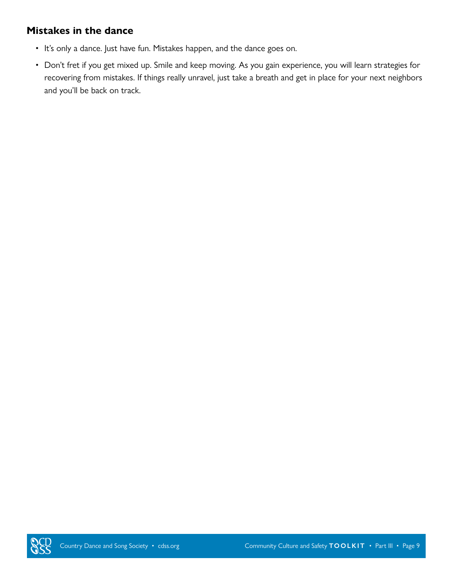#### **Mistakes in the dance**

- It's only a dance. Just have fun. Mistakes happen, and the dance goes on.
- <span id="page-8-0"></span>• Don't fret if you get mixed up. Smile and keep moving. As you gain experience, you will learn strategies for recovering from mistakes. If things really unravel, just take a breath and get in place for your next neighbors and you'll be back on track.

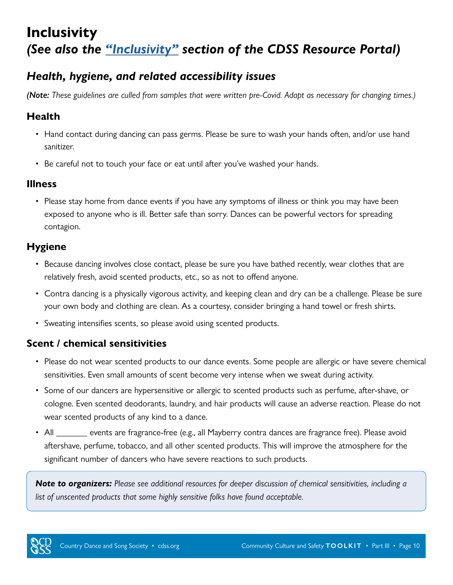### **Inclusivity**  *(See also the "[Inclusivity](https://www.cdss.org/resources/resource-portal/inclusivity)" section of the CDSS Resource Portal)*

### <span id="page-9-0"></span>*Health, hygiene, and related accessibility issues*

*(Note: These guidelines are culled from samples that were written pre-Covid. Adapt as necessary for changing times.)*

#### **Health**

- Hand contact during dancing can pass germs. Please be sure to wash your hands often, and/or use hand sanitizer.
- Be careful not to touch your face or eat until after you've washed your hands.

#### **Illness**

• Please stay home from dance events if you have any symptoms of illness or think you may have been exposed to anyone who is ill. Better safe than sorry. Dances can be powerful vectors for spreading contagion.

#### **Hygiene**

- Because dancing involves close contact, please be sure you have bathed recently, wear clothes that are relatively fresh, avoid scented products, etc., so as not to offend anyone.
- Contra dancing is a physically vigorous activity, and keeping clean and dry can be a challenge. Please be sure your own body and clothing are clean. As a courtesy, consider bringing a hand towel or fresh shirts.
- Sweating intensifies scents, so please avoid using scented products.

#### **Scent / chemical sensitivities**

- Please do not wear scented products to our dance events. Some people are allergic or have severe chemical sensitivities. Even small amounts of scent become very intense when we sweat during activity.
- Some of our dancers are hypersensitive or allergic to scented products such as perfume, after-shave, or cologne. Even scented deodorants, laundry, and hair products will cause an adverse reaction. Please do not wear scented products of any kind to a dance.
- All \_\_\_\_\_\_\_ events are fragrance-free (e.g., all Mayberry contra dances are fragrance free). Please avoid aftershave, perfume, tobacco, and all other scented products. This will improve the atmosphere for the significant number of dancers who have severe reactions to such products.

*Note to organizers: Please see additional resources for deeper discussion of chemical sensitivities, including a list of unscented products that some highly sensitive folks have found acceptable.*

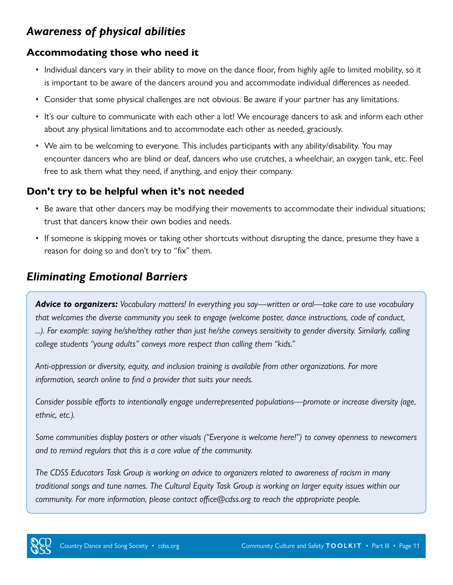### *Awareness of physical abilities*

#### **Accommodating those who need it**

- Individual dancers vary in their ability to move on the dance floor, from highly agile to limited mobility, so it is important to be aware of the dancers around you and accommodate individual differences as needed.
- Consider that some physical challenges are not obvious. Be aware if your partner has any limitations.
- It's our culture to communicate with each other a lot! We encourage dancers to ask and inform each other about any physical limitations and to accommodate each other as needed, graciously.
- We aim to be welcoming to everyone. This includes participants with any ability/disability. You may encounter dancers who are blind or deaf, dancers who use crutches, a wheelchair, an oxygen tank, etc. Feel free to ask them what they need, if anything, and enjoy their company.

#### **Don't try to be helpful when it's not needed**

- Be aware that other dancers may be modifying their movements to accommodate their individual situations; trust that dancers know their own bodies and needs.
- If someone is skipping moves or taking other shortcuts without disrupting the dance, presume they have a reason for doing so and don't try to "fix" them.

### *Eliminating Emotional Barriers*

*Advice to organizers: Vocabulary matters! In everything you say—written or oral—take care to use vocabulary that welcomes the diverse community you seek to engage (welcome poster, dance instructions, code of conduct, ...). For example: saying he/she/they rather than just he/she conveys sensitivity to gender diversity. Similarly, calling college students "young adults" conveys more respect than calling them "kids."*

*Anti-oppression or diversity, equity, and inclusion training is available from other organizations. For more information, search online to find a provider that suits your needs.*

*Consider possible efforts to intentionally engage underrepresented populations—promote or increase diversity (age, ethnic, etc.).*

*Some communities display posters or other visuals ("Everyone is welcome here!") to convey openness to newcomers and to remind regulars that this is a core value of the community.*

*The CDSS Educators Task Group is working on advice to organizers related to awareness of racism in many traditional songs and tune names. The Cultural Equity Task Group is working on larger equity issues within our community. For more information, please contact office@cdss.org to reach the appropriate people.*

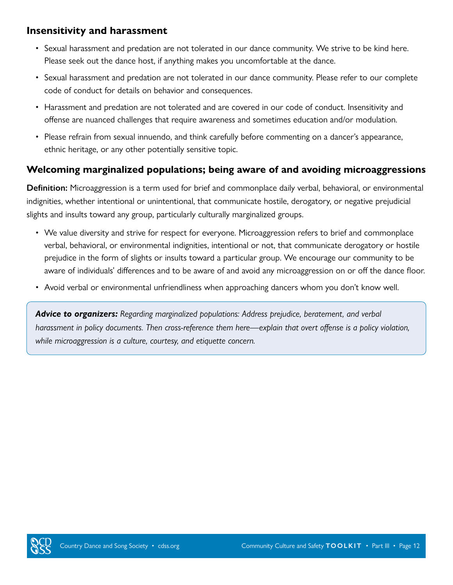#### **Insensitivity and harassment**

- Sexual harassment and predation are not tolerated in our dance community. We strive to be kind here. Please seek out the dance host, if anything makes you uncomfortable at the dance.
- Sexual harassment and predation are not tolerated in our dance community. Please refer to our complete code of conduct for details on behavior and consequences.
- Harassment and predation are not tolerated and are covered in our code of conduct. Insensitivity and offense are nuanced challenges that require awareness and sometimes education and/or modulation.
- Please refrain from sexual innuendo, and think carefully before commenting on a dancer's appearance, ethnic heritage, or any other potentially sensitive topic.

#### **Welcoming marginalized populations; being aware of and avoiding microaggressions**

**Definition:** Microaggression is a term used for brief and commonplace daily verbal, behavioral, or environmental indignities, whether intentional or unintentional, that communicate hostile, derogatory, or negative prejudicial slights and insults toward any group, particularly culturally marginalized groups.

- We value diversity and strive for respect for everyone. Microaggression refers to brief and commonplace verbal, behavioral, or environmental indignities, intentional or not, that communicate derogatory or hostile prejudice in the form of slights or insults toward a particular group. We encourage our community to be aware of individuals' differences and to be aware of and avoid any microaggression on or off the dance floor.
- Avoid verbal or environmental unfriendliness when approaching dancers whom you don't know well.

*Advice to organizers: Regarding marginalized populations: Address prejudice, beratement, and verbal harassment in policy documents. Then cross-reference them here—explain that overt offense is a policy violation, while microaggression is a culture, courtesy, and etiquette concern.*

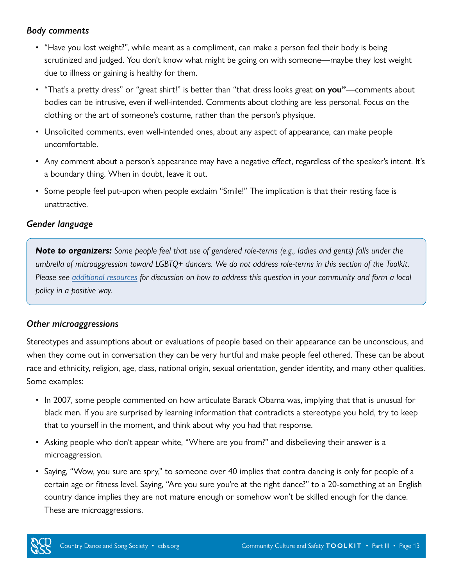#### *Body comments*

- "Have you lost weight?", while meant as a compliment, can make a person feel their body is being scrutinized and judged. You don't know what might be going on with someone—maybe they lost weight due to illness or gaining is healthy for them.
- "That's a pretty dress" or "great shirt!" is better than "that dress looks great **on you"**—comments about bodies can be intrusive, even if well-intended. Comments about clothing are less personal. Focus on the clothing or the art of someone's costume, rather than the person's physique.
- Unsolicited comments, even well-intended ones, about any aspect of appearance, can make people uncomfortable.
- Any comment about a person's appearance may have a negative effect, regardless of the speaker's intent. It's a boundary thing. When in doubt, leave it out.
- Some people feel put-upon when people exclaim "Smile!" The implication is that their resting face is unattractive.

#### *Gender language*

*Note to organizers: Some people feel that use of gendered role-terms (e.g., ladies and gents) falls under the umbrella of microaggression toward LGBTQ+ dancers. We do not address role-terms in this section of the Toolkit. Please see [additional resources](https://www.cdss.org/resources/resource-portal/callers#gender-free-and-positional-calling) for discussion on how to address this question in your community and form a local policy in a positive way.*

#### *Other microaggressions*

Stereotypes and assumptions about or evaluations of people based on their appearance can be unconscious, and when they come out in conversation they can be very hurtful and make people feel othered. These can be about race and ethnicity, religion, age, class, national origin, sexual orientation, gender identity, and many other qualities. Some examples:

- In 2007, some people commented on how articulate Barack Obama was, implying that that is unusual for black men. If you are surprised by learning information that contradicts a stereotype you hold, try to keep that to yourself in the moment, and think about why you had that response.
- Asking people who don't appear white, "Where are you from?" and disbelieving their answer is a microaggression.
- Saying, "Wow, you sure are spry," to someone over 40 implies that contra dancing is only for people of a certain age or fitness level. Saying, "Are you sure you're at the right dance?" to a 20-something at an English country dance implies they are not mature enough or somehow won't be skilled enough for the dance. These are microaggressions.

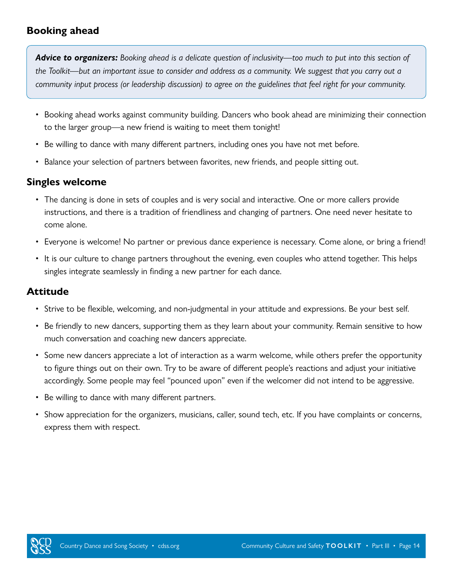#### **Booking ahead**

*Advice to organizers: Booking ahead is a delicate question of inclusivity—too much to put into this section of the Toolkit—but an important issue to consider and address as a community. We suggest that you carry out a community input process (or leadership discussion) to agree on the guidelines that feel right for your community.*

- Booking ahead works against community building. Dancers who book ahead are minimizing their connection to the larger group—a new friend is waiting to meet them tonight!
- Be willing to dance with many different partners, including ones you have not met before.
- Balance your selection of partners between favorites, new friends, and people sitting out.

#### **Singles welcome**

- The dancing is done in sets of couples and is very social and interactive. One or more callers provide instructions, and there is a tradition of friendliness and changing of partners. One need never hesitate to come alone.
- Everyone is welcome! No partner or previous dance experience is necessary. Come alone, or bring a friend!
- It is our culture to change partners throughout the evening, even couples who attend together. This helps singles integrate seamlessly in finding a new partner for each dance.

#### **Attitude**

- Strive to be flexible, welcoming, and non-judgmental in your attitude and expressions. Be your best self.
- Be friendly to new dancers, supporting them as they learn about your community. Remain sensitive to how much conversation and coaching new dancers appreciate.
- Some new dancers appreciate a lot of interaction as a warm welcome, while others prefer the opportunity to figure things out on their own. Try to be aware of different people's reactions and adjust your initiative accordingly. Some people may feel "pounced upon" even if the welcomer did not intend to be aggressive.
- Be willing to dance with many different partners.
- Show appreciation for the organizers, musicians, caller, sound tech, etc. If you have complaints or concerns, express them with respect.

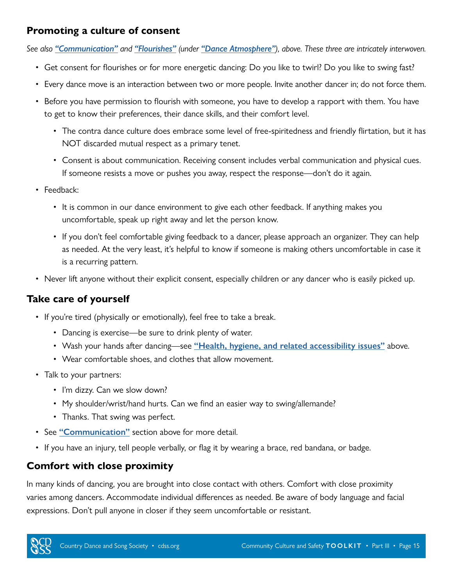#### **Promoting a culture of consent**

*See also ["Communication"](#page-2-1) and ["Flourishes"](#page-6-1) (under ["Dance Atmosphere"](#page-4-1)), above. These three are intricately interwoven.*

- Get consent for flourishes or for more energetic dancing: Do you like to twirl? Do you like to swing fast?
- Every dance move is an interaction between two or more people. Invite another dancer in; do not force them.
- Before you have permission to flourish with someone, you have to develop a rapport with them. You have to get to know their preferences, their dance skills, and their comfort level.
	- The contra dance culture does embrace some level of free-spiritedness and friendly flirtation, but it has NOT discarded mutual respect as a primary tenet.
	- Consent is about communication. Receiving consent includes verbal communication and physical cues. If someone resists a move or pushes you away, respect the response—don't do it again.
- Feedback:
	- It is common in our dance environment to give each other feedback. If anything makes you uncomfortable, speak up right away and let the person know.
	- If you don't feel comfortable giving feedback to a dancer, please approach an organizer. They can help as needed. At the very least, it's helpful to know if someone is making others uncomfortable in case it is a recurring pattern.
- Never lift anyone without their explicit consent, especially children or any dancer who is easily picked up.

#### **Take care of yourself**

- If you're tired (physically or emotionally), feel free to take a break.
	- Dancing is exercise—be sure to drink plenty of water.
	- Wash your hands after dancing—see **["Health, hygiene, and related accessibility issues"](#page-9-0)** above.
	- Wear comfortable shoes, and clothes that allow movement.
- Talk to your partners:
	- I'm dizzy. Can we slow down?
	- My shoulder/wrist/hand hurts. Can we find an easier way to swing/allemande?
	- Thanks. That swing was perfect.
- See **["Communication"](#page-2-1)** section above for more detail.
- If you have an injury, tell people verbally, or flag it by wearing a brace, red bandana, or badge.

#### **Comfort with close proximity**

In many kinds of dancing, you are brought into close contact with others. Comfort with close proximity varies among dancers. Accommodate individual differences as needed. Be aware of body language and facial expressions. Don't pull anyone in closer if they seem uncomfortable or resistant.

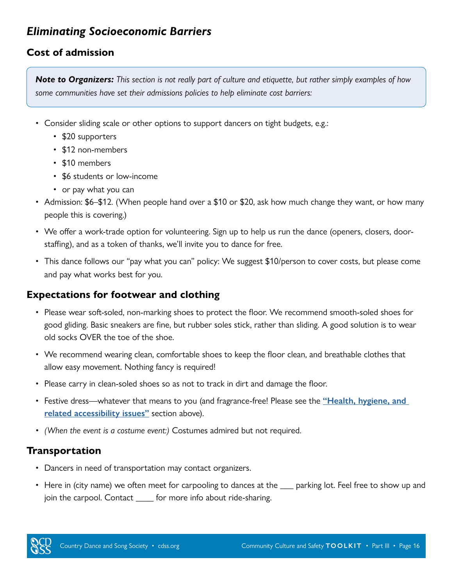### *Eliminating Socioeconomic Barriers*

#### **Cost of admission**

*Note to Organizers: This section is not really part of culture and etiquette, but rather simply examples of how some communities have set their admissions policies to help eliminate cost barriers:*

- Consider sliding scale or other options to support dancers on tight budgets, e.g.:
	- \$20 supporters
	- \$12 non-members
	- \$10 members
	- \$6 students or low-income
	- or pay what you can
- Admission: \$6–\$12. (When people hand over a \$10 or \$20, ask how much change they want, or how many people this is covering.)
- We offer a work-trade option for volunteering. Sign up to help us run the dance (openers, closers, doorstaffing), and as a token of thanks, we'll invite you to dance for free.
- This dance follows our "pay what you can" policy: We suggest \$10/person to cover costs, but please come and pay what works best for you.

#### **Expectations for footwear and clothing**

- Please wear soft-soled, non-marking shoes to protect the floor. We recommend smooth-soled shoes for good gliding. Basic sneakers are fine, but rubber soles stick, rather than sliding. A good solution is to wear old socks OVER the toe of the shoe.
- We recommend wearing clean, comfortable shoes to keep the floor clean, and breathable clothes that allow easy movement. Nothing fancy is required!
- Please carry in clean-soled shoes so as not to track in dirt and damage the floor.
- Festive dress—whatever that means to you (and fragrance-free! Please see the **["Health, hygiene, and](#page-9-0)  [related accessibility issues"](#page-9-0)** section above).
- *• (When the event is a costume event:)* Costumes admired but not required.

#### **Transportation**

- Dancers in need of transportation may contact organizers.
- Here in (city name) we often meet for carpooling to dances at the  $\_\_$  parking lot. Feel free to show up and join the carpool. Contact \_\_\_\_\_ for more info about ride-sharing.

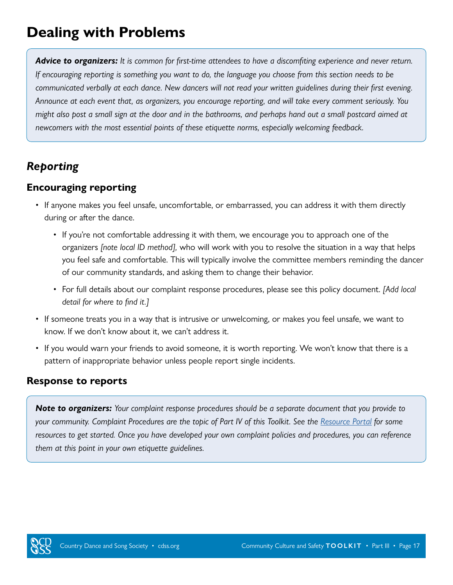# **Dealing with Problems**

*Advice to organizers: It is common for first-time attendees to have a discomfiting experience and never return. If encouraging reporting is something you want to do, the language you choose from this section needs to be communicated verbally at each dance. New dancers will not read your written guidelines during their first evening. Announce at each event that, as organizers, you encourage reporting, and will take every comment seriously. You might also post a small sign at the door and in the bathrooms, and perhaps hand out a small postcard aimed at newcomers with the most essential points of these etiquette norms, especially welcoming feedback.* 

### *Reporting*

#### **Encouraging reporting**

- If anyone makes you feel unsafe, uncomfortable, or embarrassed, you can address it with them directly during or after the dance.
	- If you're not comfortable addressing it with them, we encourage you to approach one of the organizers *[note local ID method],* who will work with you to resolve the situation in a way that helps you feel safe and comfortable. This will typically involve the committee members reminding the dancer of our community standards, and asking them to change their behavior.
	- For full details about our complaint response procedures, please see this policy document. *[Add local detail for where to find it.]*
- If someone treats you in a way that is intrusive or unwelcoming, or makes you feel unsafe, we want to know. If we don't know about it, we can't address it.
- If you would warn your friends to avoid someone, it is worth reporting. We won't know that there is a pattern of inappropriate behavior unless people report single incidents.

#### **Response to reports**

*Note to organizers: Your complaint response procedures should be a separate document that you provide to your community. Complaint Procedures are the topic of Part IV of this Toolkit. See the [Resource Portal](https://www.cdss.org/resources/resource-portal/organizers#cdss-publications-3) for some resources to get started. Once you have developed your own complaint policies and procedures, you can reference them at this point in your own etiquette guidelines.*